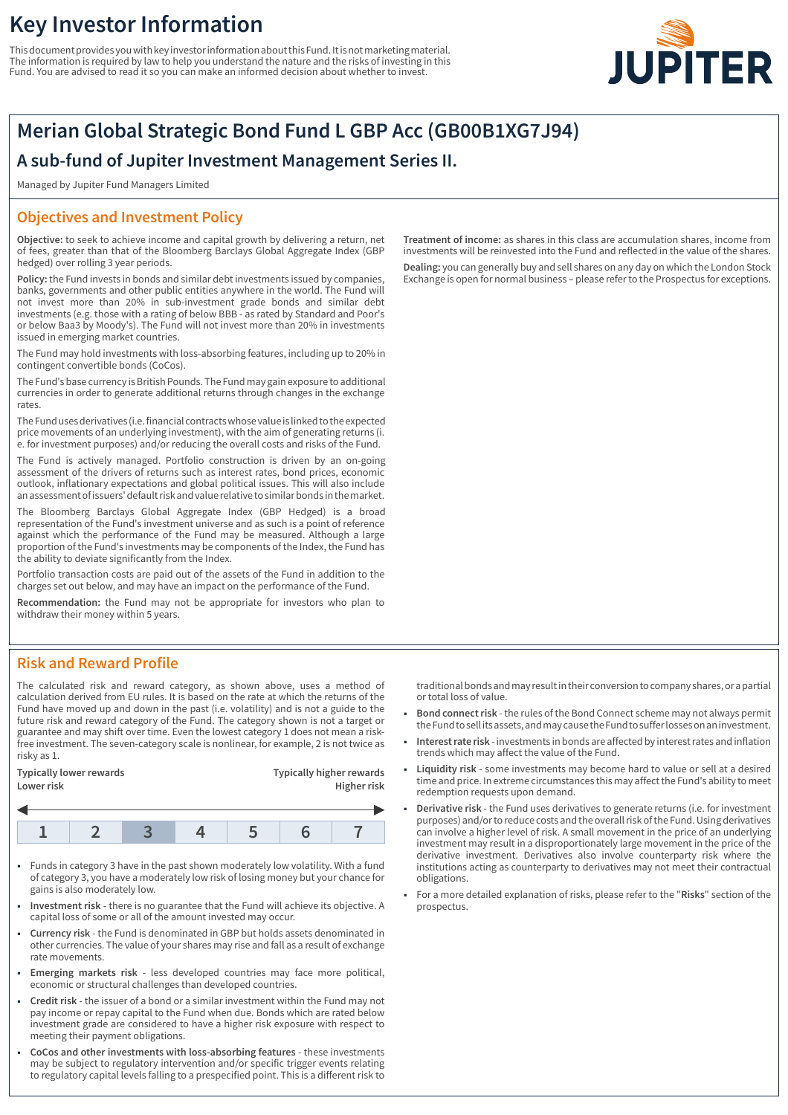# **Key Investor Information**

This document provides you with key investor information about this Fund. It is not marketing material. The information is required by law to help you understand the nature and the risks of investing in this Fund. You are advised to read it so you can make an informed decision about whether to invest.



# **Merian Global Strategic Bond Fund L GBP Acc (GB00B1XG7J94)**

## **A sub-fund of Jupiter Investment Management Series II.**

Managed by Jupiter Fund Managers Limited

## **Objectives and Investment Policy**

**Objective:** to seek to achieve income and capital growth by delivering a return, net of fees, greater than that of the Bloomberg Barclays Global Aggregate Index (GBP hedged) over rolling 3 year periods.

**Policy:** the Fund invests in bonds and similar debt investments issued by companies, banks, governments and other public entities anywhere in the world. The Fund will not invest more than 20% in sub-investment grade bonds and similar debt investments (e.g. those with a rating of below BBB - as rated by Standard and Poor's or below Baa3 by Moody's). The Fund will not invest more than 20% in investments issued in emerging market countries.

The Fund may hold investments with loss-absorbing features, including up to 20% in contingent convertible bonds (CoCos).

The Fund's base currency is British Pounds. The Fund may gain exposure to additional currencies in order to generate additional returns through changes in the exchange rates.

The Fund uses derivatives (i.e. financial contracts whose value is linked to the expected price movements of an underlying investment), with the aim of generating returns (i. e. for investment purposes) and/or reducing the overall costs and risks of the Fund.

The Fund is actively managed. Portfolio construction is driven by an on-going assessment of the drivers of returns such as interest rates, bond prices, economic outlook, inflationary expectations and global political issues. This will also include an assessment of issuers' default risk and value relative to similar bonds in the market.

The Bloomberg Barclays Global Aggregate Index (GBP Hedged) is a broad representation of the Fund's investment universe and as such is a point of reference against which the performance of the Fund may be measured. Although a large proportion of the Fund's investments may be components of the Index, the Fund has the ability to deviate significantly from the Index.

Portfolio transaction costs are paid out of the assets of the Fund in addition to the charges set out below, and may have an impact on the performance of the Fund.

**Recommendation:** the Fund may not be appropriate for investors who plan to withdraw their money within 5 years.

## **Risk and Reward Profile**

The calculated risk and reward category, as shown above, uses a method of calculation derived from EU rules. It is based on the rate at which the returns of the Fund have moved up and down in the past (i.e. volatility) and is not a guide to the future risk and reward category of the Fund. The category shown is not a target or guarantee and may shift over time. Even the lowest category 1 does not mean a riskfree investment. The seven-category scale is nonlinear, for example, 2 is not twice as risky as 1.

| <b>Typically lower rewards</b><br>Lower risk |  | Typically higher rewards<br>Higher risk |  |  |  |
|----------------------------------------------|--|-----------------------------------------|--|--|--|
|                                              |  |                                         |  |  |  |
|                                              |  |                                         |  |  |  |



- 1 Funds in category 3 have in the past shown moderately low volatility. With a fund of category 3, you have a moderately low risk of losing money but your chance for gains is also moderately low.
- 1 **Investment risk** there is no guarantee that the Fund will achieve its objective. A capital loss of some or all of the amount invested may occur.
- 1 **Currency risk** the Fund is denominated in GBP but holds assets denominated in other currencies. The value of your shares may rise and fall as a result of exchange rate movements.
- 1 **Emerging markets risk** less developed countries may face more political, economic or structural challenges than developed countries.
- 1 **Credit risk** the issuer of a bond or a similar investment within the Fund may not pay income or repay capital to the Fund when due. Bonds which are rated below investment grade are considered to have a higher risk exposure with respect to meeting their payment obligations.
- 1 **CoCos and other investments with loss-absorbing features** these investments may be subject to regulatory intervention and/or specific trigger events relating to regulatory capital levels falling to a prespecified point. This is a different risk to

**Treatment of income:** as shares in this class are accumulation shares, income from investments will be reinvested into the Fund and reflected in the value of the shares. **Dealing:** you can generally buy and sell shares on any day on which the London Stock Exchange is open for normal business – please refer to the Prospectus for exceptions.

traditional bonds and may result in their conversion to company shares, or a partial or total loss of value.

- 1 **Bond connect risk** the rules of the Bond Connect scheme may not always permit the Fund to sell its assets, and may cause the Fund to suffer losses on an investment.
- 1 **Interest rate risk** investments in bonds are affected by interest rates and inflation trends which may affect the value of the Fund.
- 1 **Liquidity risk** some investments may become hard to value or sell at a desired time and price. In extreme circumstances this may affect the Fund's ability to meet redemption requests upon demand.
- 1 **Derivative risk** the Fund uses derivatives to generate returns (i.e. for investment purposes) and/or to reduce costs and the overall risk of the Fund. Using derivatives can involve a higher level of risk. A small movement in the price of an underlying investment may result in a disproportionately large movement in the price of the derivative investment. Derivatives also involve counterparty risk where the institutions acting as counterparty to derivatives may not meet their contractual obligations.
- 1 For a more detailed explanation of risks, please refer to the "**Risks**" section of the prospectus.